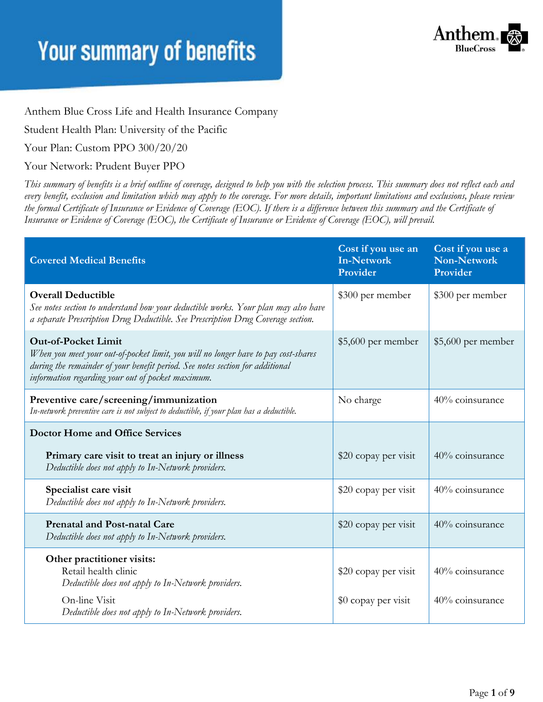

Anthem Blue Cross Life and Health Insurance Company

Student Health Plan: University of the Pacific

Your Plan: Custom PPO 300/20/20

Your Network: Prudent Buyer PPO

*This summary of benefits is a brief outline of coverage, designed to help you with the selection process. This summary does not reflect each and every benefit, exclusion and limitation which may apply to the coverage. For more details, important limitations and exclusions, please review the formal Certificate of Insurance or Evidence of Coverage (EOC). If there is a difference between this summary and the Certificate of Insurance or Evidence of Coverage (EOC), the Certificate of Insurance or Evidence of Coverage (EOC), will prevail.*

| <b>Covered Medical Benefits</b>                                                                                                                                                                                                                        | Cost if you use an<br><b>In-Network</b><br>Provider | Cost if you use a<br><b>Non-Network</b><br>Provider |
|--------------------------------------------------------------------------------------------------------------------------------------------------------------------------------------------------------------------------------------------------------|-----------------------------------------------------|-----------------------------------------------------|
| <b>Overall Deductible</b><br>See notes section to understand how your deductible works. Your plan may also have<br>a separate Prescription Drug Deductible. See Prescription Drug Coverage section.                                                    | \$300 per member                                    | \$300 per member                                    |
| <b>Out-of-Pocket Limit</b><br>When you meet your out-of-pocket limit, you will no longer have to pay cost-shares<br>during the remainder of your benefit period. See notes section for additional<br>information regarding your out of pocket maximum. | $$5,600$ per member                                 | \$5,600 per member                                  |
| Preventive care/screening/immunization<br>In-network preventive care is not subject to deductible, if your plan has a deductible.                                                                                                                      | No charge                                           | 40% coinsurance                                     |
| <b>Doctor Home and Office Services</b>                                                                                                                                                                                                                 |                                                     |                                                     |
| Primary care visit to treat an injury or illness<br>Deductible does not apply to In-Network providers.                                                                                                                                                 | \$20 copay per visit                                | 40% coinsurance                                     |
| Specialist care visit<br>Deductible does not apply to In-Network providers.                                                                                                                                                                            | \$20 copay per visit                                | 40% coinsurance                                     |
| <b>Prenatal and Post-natal Care</b><br>Deductible does not apply to In-Network providers.                                                                                                                                                              | \$20 copay per visit                                | 40% coinsurance                                     |
| Other practitioner visits:<br>Retail health clinic<br>Deductible does not apply to In-Network providers.<br>On-line Visit                                                                                                                              | \$20 copay per visit<br>\$0 copay per visit         | 40% coinsurance<br>40% coinsurance                  |
| Deductible does not apply to In-Network providers.                                                                                                                                                                                                     |                                                     |                                                     |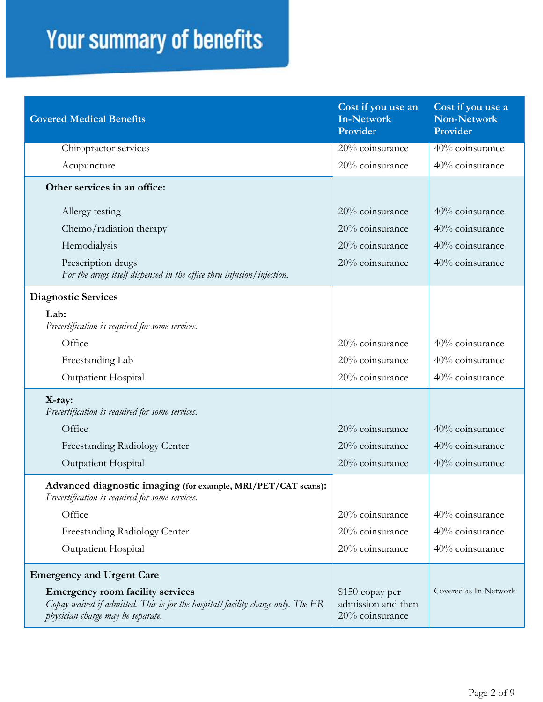| <b>Covered Medical Benefits</b>                                                                                                                                 | Cost if you use an<br><b>In-Network</b><br>Provider      | Cost if you use a<br>Non-Network<br>Provider |
|-----------------------------------------------------------------------------------------------------------------------------------------------------------------|----------------------------------------------------------|----------------------------------------------|
| Chiropractor services                                                                                                                                           | 20% coinsurance                                          | 40% coinsurance                              |
| Acupuncture                                                                                                                                                     | 20% coinsurance                                          | 40% coinsurance                              |
| Other services in an office:                                                                                                                                    |                                                          |                                              |
| Allergy testing                                                                                                                                                 | 20% coinsurance                                          | 40% coinsurance                              |
| Chemo/radiation therapy                                                                                                                                         | 20% coinsurance                                          | 40% coinsurance                              |
| Hemodialysis                                                                                                                                                    | 20% coinsurance                                          | 40% coinsurance                              |
| Prescription drugs<br>For the drugs itself dispensed in the office thru infusion/injection.                                                                     | 20% coinsurance                                          | 40% coinsurance                              |
| <b>Diagnostic Services</b>                                                                                                                                      |                                                          |                                              |
| Lab:<br>Precertification is required for some services.                                                                                                         |                                                          |                                              |
| Office                                                                                                                                                          | 20% coinsurance                                          | 40% coinsurance                              |
| Freestanding Lab                                                                                                                                                | 20% coinsurance                                          | 40% coinsurance                              |
| Outpatient Hospital                                                                                                                                             | 20% coinsurance                                          | 40% coinsurance                              |
| X-ray:<br>Precertification is required for some services.                                                                                                       |                                                          |                                              |
| Office                                                                                                                                                          | 20% coinsurance                                          | 40% coinsurance                              |
| Freestanding Radiology Center                                                                                                                                   | 20% coinsurance                                          | 40% coinsurance                              |
| Outpatient Hospital                                                                                                                                             | 20% coinsurance                                          | 40% coinsurance                              |
| Advanced diagnostic imaging (for example, MRI/PET/CAT scans):<br>Precertification is required for some services.                                                |                                                          |                                              |
| Office                                                                                                                                                          | 20% coinsurance                                          | 40% coinsurance                              |
| Freestanding Radiology Center                                                                                                                                   | 20% coinsurance                                          | 40% coinsurance                              |
| <b>Outpatient Hospital</b>                                                                                                                                      | 20% coinsurance                                          | 40% coinsurance                              |
| <b>Emergency and Urgent Care</b>                                                                                                                                |                                                          |                                              |
| <b>Emergency room facility services</b><br>Copay waived if admitted. This is for the hospital/facility charge only. The ER<br>physician charge may be separate. | \$150 copay per<br>admission and then<br>20% coinsurance | Covered as In-Network                        |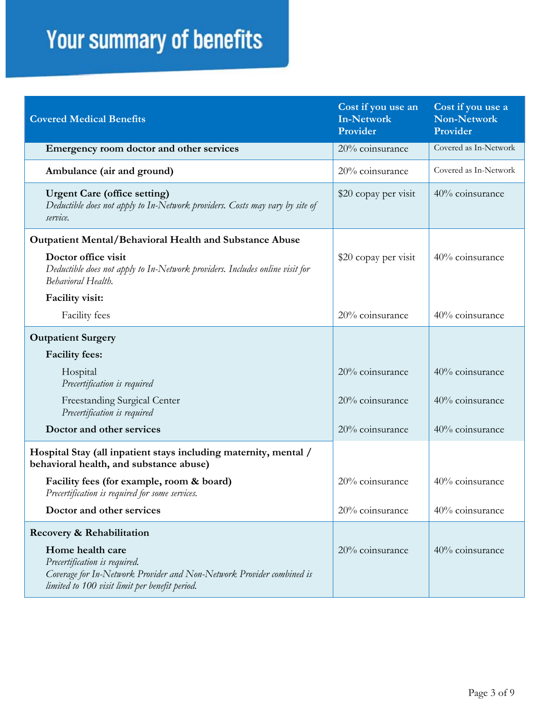| <b>Covered Medical Benefits</b>                                                                                                                                              | Cost if you use an<br><b>In-Network</b><br>Provider | Cost if you use a<br><b>Non-Network</b><br>Provider |
|------------------------------------------------------------------------------------------------------------------------------------------------------------------------------|-----------------------------------------------------|-----------------------------------------------------|
| Emergency room doctor and other services                                                                                                                                     | 20% coinsurance                                     | Covered as In-Network                               |
| Ambulance (air and ground)                                                                                                                                                   | 20% coinsurance                                     | Covered as In-Network                               |
| <b>Urgent Care (office setting)</b><br>Deductible does not apply to In-Network providers. Costs may vary by site of<br>service.                                              | \$20 copay per visit                                | 40% coinsurance                                     |
| <b>Outpatient Mental/Behavioral Health and Substance Abuse</b>                                                                                                               |                                                     |                                                     |
| Doctor office visit<br>Deductible does not apply to In-Network providers. Includes online visit for<br>Behavioral Health.                                                    | \$20 copay per visit                                | 40% coinsurance                                     |
| Facility visit:                                                                                                                                                              |                                                     |                                                     |
| <b>Facility</b> fees                                                                                                                                                         | 20% coinsurance                                     | 40% coinsurance                                     |
| <b>Outpatient Surgery</b>                                                                                                                                                    |                                                     |                                                     |
| <b>Facility fees:</b>                                                                                                                                                        |                                                     |                                                     |
| Hospital<br>Precertification is required                                                                                                                                     | 20% coinsurance                                     | 40% coinsurance                                     |
| Freestanding Surgical Center<br>Precertification is required                                                                                                                 | 20% coinsurance                                     | 40% coinsurance                                     |
| Doctor and other services                                                                                                                                                    | 20% coinsurance                                     | 40% coinsurance                                     |
| Hospital Stay (all inpatient stays including maternity, mental /<br>behavioral health, and substance abuse)                                                                  |                                                     |                                                     |
| Facility fees (for example, room & board)<br>Precertification is required for some services.                                                                                 | 20% coinsurance                                     | 40% coinsurance                                     |
| Doctor and other services                                                                                                                                                    | 20% coinsurance                                     | 40% coinsurance                                     |
| Recovery & Rehabilitation                                                                                                                                                    |                                                     |                                                     |
| Home health care<br>Precertification is required.<br>Coverage for In-Network Provider and Non-Network Provider combined is<br>limited to 100 visit limit per benefit period. | 20% coinsurance                                     | 40% coinsurance                                     |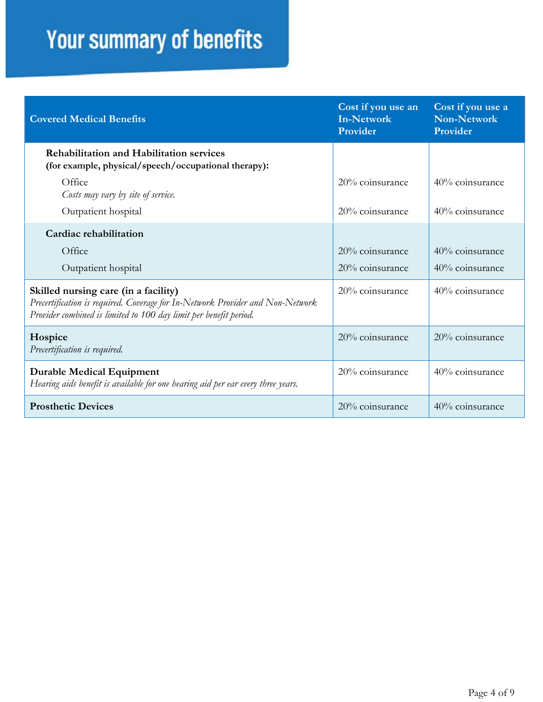| <b>Covered Medical Benefits</b>                                                                                                                                                             | Cost if you use an<br><b>In-Network</b><br>Provider | Cost if you use a<br><b>Non-Network</b><br>Provider |
|---------------------------------------------------------------------------------------------------------------------------------------------------------------------------------------------|-----------------------------------------------------|-----------------------------------------------------|
| <b>Rehabilitation and Habilitation services</b><br>(for example, physical/speech/occupational therapy):                                                                                     |                                                     |                                                     |
| Office<br>Costs may vary by site of service.                                                                                                                                                | $20\%$ coinsurance                                  | 40% coinsurance                                     |
| Outpatient hospital                                                                                                                                                                         | 20% coinsurance                                     | 40% coinsurance                                     |
| Cardiac rehabilitation                                                                                                                                                                      |                                                     |                                                     |
| Office                                                                                                                                                                                      | $20\%$ coinsurance                                  | 40% coinsurance                                     |
| Outpatient hospital                                                                                                                                                                         | 20% coinsurance                                     | 40% coinsurance                                     |
| Skilled nursing care (in a facility)<br>Precertification is required. Coverage for In-Network Provider and Non-Network<br>Provider combined is limited to 100 day limit per benefit period. | 20% coinsurance                                     | 40% coinsurance                                     |
| Hospice<br>Precertification is required.                                                                                                                                                    | 20% coinsurance                                     | $20\%$ coinsurance                                  |
| <b>Durable Medical Equipment</b><br>Hearing aids benefit is available for one hearing aid per ear every three years.                                                                        | 20% coinsurance                                     | 40% coinsurance                                     |
| <b>Prosthetic Devices</b>                                                                                                                                                                   | 20% coinsurance                                     | 40% coinsurance                                     |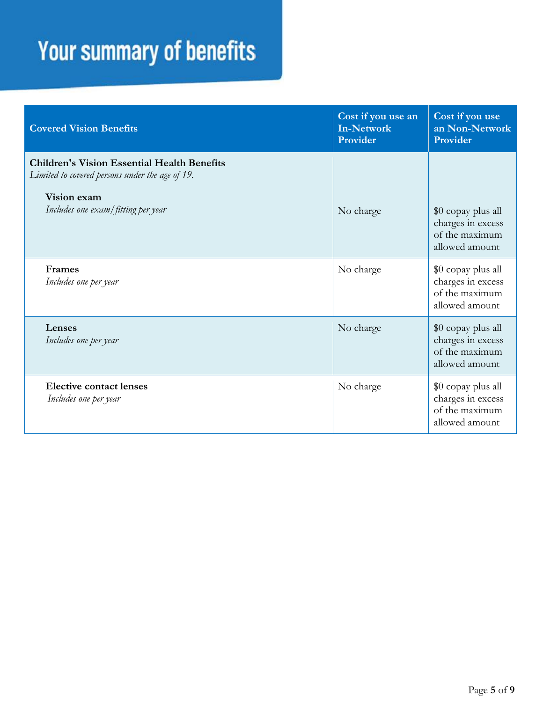| <b>Covered Vision Benefits</b>                                                                                                                             | Cost if you use an<br><b>In-Network</b><br>Provider | Cost if you use<br>an Non-Network<br>Provider                               |
|------------------------------------------------------------------------------------------------------------------------------------------------------------|-----------------------------------------------------|-----------------------------------------------------------------------------|
| <b>Children's Vision Essential Health Benefits</b><br>Limited to covered persons under the age of 19.<br>Vision exam<br>Includes one exam/fitting per year | No charge                                           | \$0 copay plus all<br>charges in excess<br>of the maximum<br>allowed amount |
| Frames<br>Includes one per year                                                                                                                            | No charge                                           | \$0 copay plus all<br>charges in excess<br>of the maximum<br>allowed amount |
| Lenses<br>Includes one per year                                                                                                                            | No charge                                           | \$0 copay plus all<br>charges in excess<br>of the maximum<br>allowed amount |
| <b>Elective contact lenses</b><br>Includes one per year                                                                                                    | No charge                                           | \$0 copay plus all<br>charges in excess<br>of the maximum<br>allowed amount |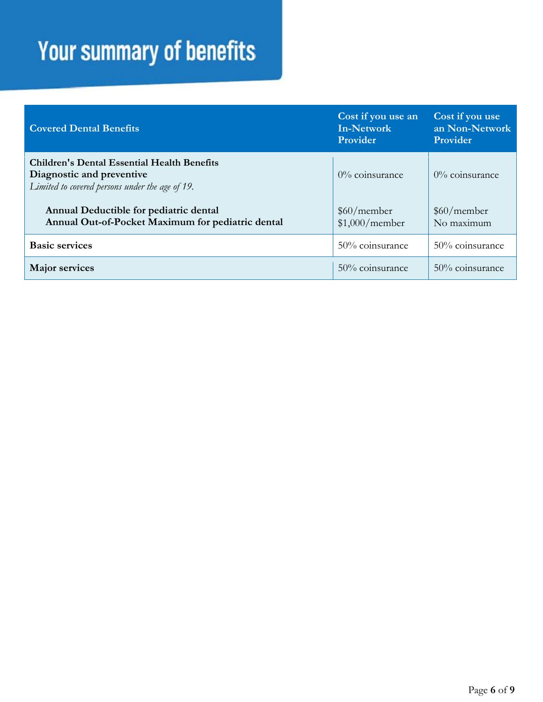| <b>Covered Dental Benefits</b>                                                                                                     | Cost if you use an<br><b>In-Network</b><br>Provider | Cost if you use<br>an Non-Network<br>Provider |
|------------------------------------------------------------------------------------------------------------------------------------|-----------------------------------------------------|-----------------------------------------------|
| <b>Children's Dental Essential Health Benefits</b><br>Diagnostic and preventive<br>Limited to covered persons under the age of 19. | $0\%$ coinsurance                                   | $0\%$ coinsurance                             |
| Annual Deductible for pediatric dental<br>Annual Out-of-Pocket Maximum for pediatric dental                                        | \$60/member<br>\$1,000/member                       | \$60/member<br>No maximum                     |
| <b>Basic services</b>                                                                                                              | 50% coinsurance                                     | 50% coinsurance                               |
| <b>Major services</b>                                                                                                              | 50% coinsurance                                     | 50% coinsurance                               |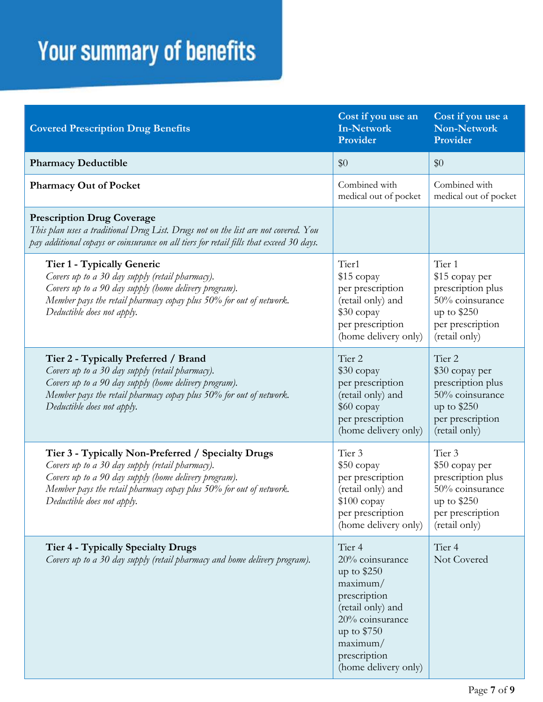| <b>Covered Prescription Drug Benefits</b>                                                                                                                                                                                                                          | Cost if you use an<br><b>In-Network</b><br>Provider                                                                                                                              | Cost if you use a<br>Non-Network<br>Provider                                                                                     |
|--------------------------------------------------------------------------------------------------------------------------------------------------------------------------------------------------------------------------------------------------------------------|----------------------------------------------------------------------------------------------------------------------------------------------------------------------------------|----------------------------------------------------------------------------------------------------------------------------------|
| <b>Pharmacy Deductible</b>                                                                                                                                                                                                                                         | \$0                                                                                                                                                                              | \$0                                                                                                                              |
| <b>Pharmacy Out of Pocket</b>                                                                                                                                                                                                                                      | Combined with<br>medical out of pocket                                                                                                                                           | Combined with<br>medical out of pocket                                                                                           |
| <b>Prescription Drug Coverage</b><br>This plan uses a traditional Drug List. Drugs not on the list are not covered. You<br>pay additional copays or coinsurance on all tiers for retail fills that exceed 30 days.                                                 |                                                                                                                                                                                  |                                                                                                                                  |
| Tier 1 - Typically Generic<br>Covers up to a 30 day supply (retail pharmacy).<br>Covers up to a 90 day supply (home delivery program).<br>Member pays the retail pharmacy copay plus 50% for out of network.<br>Deductible does not apply.                         | Tier1<br>\$15 copay<br>per prescription<br>(retail only) and<br>\$30 copay<br>per prescription<br>(home delivery only)                                                           | Tier 1<br>\$15 copay per<br>prescription plus<br>50% coinsurance<br>up to $$250$<br>per prescription<br>(retail only)            |
| Tier 2 - Typically Preferred / Brand<br>Covers up to a 30 day supply (retail pharmacy).<br>Covers up to a 90 day supply (home delivery program).<br>Member pays the retail pharmacy copay plus 50% for out of network.<br>Deductible does not apply.               | Tier <sub>2</sub><br>\$30 copay<br>per prescription<br>(retail only) and<br>\$60 copay<br>per prescription<br>(home delivery only)                                               | Tier <sub>2</sub><br>\$30 copay per<br>prescription plus<br>50% coinsurance<br>up to $$250$<br>per prescription<br>(retail only) |
| Tier 3 - Typically Non-Preferred / Specialty Drugs<br>Covers up to a 30 day supply (retail pharmacy).<br>Covers up to a 90 day supply (home delivery program).<br>Member pays the retail pharmacy copay plus 50% for out of network.<br>Deductible does not apply. | Tier 3<br>\$50 copay<br>per prescription<br>(retail only) and<br>$$100$ copay<br>per prescription<br>(home delivery only)                                                        | Tier 3<br>\$50 copay per<br>prescription plus<br>50% coinsurance<br>up to $$250$<br>per prescription<br>(retail only)            |
| <b>Tier 4 - Typically Specialty Drugs</b><br>Covers up to a 30 day supply (retail pharmacy and home delivery program).                                                                                                                                             | Tier 4<br>20% coinsurance<br>up to $$250$<br>maximum/<br>prescription<br>(retail only) and<br>20% coinsurance<br>up to \$750<br>maximum/<br>prescription<br>(home delivery only) | Tier <sub>4</sub><br>Not Covered                                                                                                 |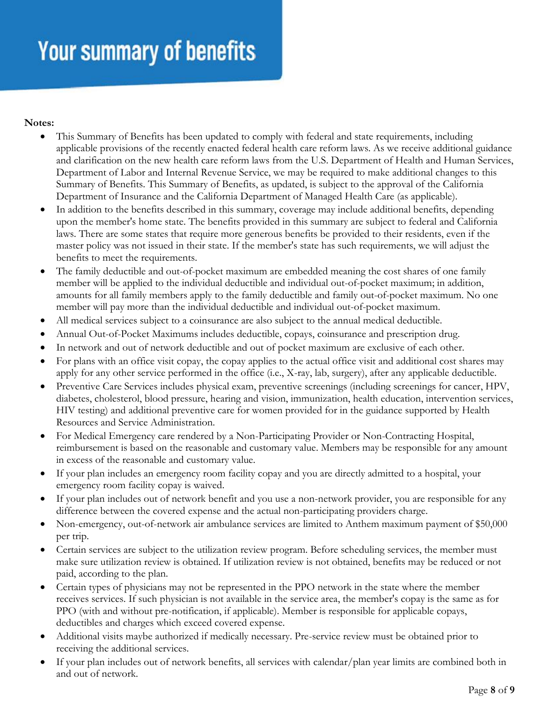#### **Notes:**

- This Summary of Benefits has been updated to comply with federal and state requirements, including applicable provisions of the recently enacted federal health care reform laws. As we receive additional guidance and clarification on the new health care reform laws from the U.S. Department of Health and Human Services, Department of Labor and Internal Revenue Service, we may be required to make additional changes to this Summary of Benefits. This Summary of Benefits, as updated, is subject to the approval of the California Department of Insurance and the California Department of Managed Health Care (as applicable).
- In addition to the benefits described in this summary, coverage may include additional benefits, depending upon the member's home state. The benefits provided in this summary are subject to federal and California laws. There are some states that require more generous benefits be provided to their residents, even if the master policy was not issued in their state. If the member's state has such requirements, we will adjust the benefits to meet the requirements.
- The family deductible and out-of-pocket maximum are embedded meaning the cost shares of one family member will be applied to the individual deductible and individual out-of-pocket maximum; in addition, amounts for all family members apply to the family deductible and family out-of-pocket maximum. No one member will pay more than the individual deductible and individual out-of-pocket maximum.
- All medical services subject to a coinsurance are also subject to the annual medical deductible.
- Annual Out-of-Pocket Maximums includes deductible, copays, coinsurance and prescription drug.
- In network and out of network deductible and out of pocket maximum are exclusive of each other.
- For plans with an office visit copay, the copay applies to the actual office visit and additional cost shares may apply for any other service performed in the office (i.e., X-ray, lab, surgery), after any applicable deductible.
- Preventive Care Services includes physical exam, preventive screenings (including screenings for cancer, HPV, diabetes, cholesterol, blood pressure, hearing and vision, immunization, health education, intervention services, HIV testing) and additional preventive care for women provided for in the guidance supported by Health Resources and Service Administration.
- For Medical Emergency care rendered by a Non-Participating Provider or Non-Contracting Hospital, reimbursement is based on the reasonable and customary value. Members may be responsible for any amount in excess of the reasonable and customary value.
- If your plan includes an emergency room facility copay and you are directly admitted to a hospital, your emergency room facility copay is waived.
- If your plan includes out of network benefit and you use a non-network provider, you are responsible for any difference between the covered expense and the actual non-participating providers charge.
- Non-emergency, out-of-network air ambulance services are limited to Anthem maximum payment of \$50,000 per trip.
- Certain services are subject to the utilization review program. Before scheduling services, the member must make sure utilization review is obtained. If utilization review is not obtained, benefits may be reduced or not paid, according to the plan.
- Certain types of physicians may not be represented in the PPO network in the state where the member receives services. If such physician is not available in the service area, the member's copay is the same as for PPO (with and without pre-notification, if applicable). Member is responsible for applicable copays, deductibles and charges which exceed covered expense.
- Additional visits maybe authorized if medically necessary. Pre-service review must be obtained prior to receiving the additional services.
- If your plan includes out of network benefits, all services with calendar/plan year limits are combined both in and out of network.